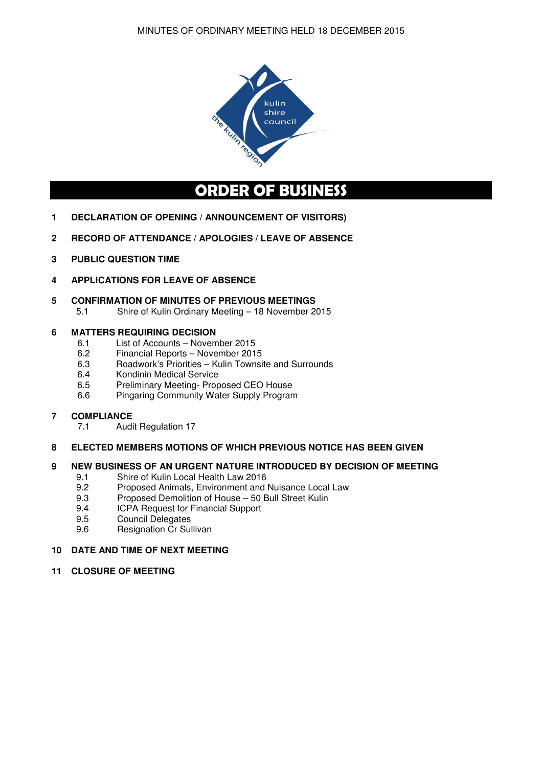

# **ORDER OF BUSINESS**

- **1 DECLARATION OF OPENING / ANNOUNCEMENT OF VISITORS)**
- **2 RECORD OF ATTENDANCE / APOLOGIES / LEAVE OF ABSENCE**
- **3 PUBLIC QUESTION TIME**
- **4 APPLICATIONS FOR LEAVE OF ABSENCE**

#### **5 CONFIRMATION OF MINUTES OF PREVIOUS MEETINGS**

5.1 Shire of Kulin Ordinary Meeting – 18 November 2015

# **6 MATTERS REQUIRING DECISION**<br>6.1 List of Accounts – Novem

- 6.1 List of Accounts November 2015<br>6.2 Financial Reports November 201
- 6.2 Financial Reports November 2015<br>6.3 Roadwork's Priorities Kulin Townsi
- 6.3 Roadwork's Priorities Kulin Townsite and Surrounds<br>6.4 Kondinin Medical Service
- 6.4 Kondinin Medical Service<br>6.5 Preliminary Meeting-Prop
- 6.5 Preliminary Meeting- Proposed CEO House<br>6.6 Pingaring Community Water Supply Program
- Pingaring Community Water Supply Program

#### **7 COMPLIANCE**

7.1 Audit Regulation 17

#### **8 ELECTED MEMBERS MOTIONS OF WHICH PREVIOUS NOTICE HAS BEEN GIVEN**

# **9 NEW BUSINESS OF AN URGENT NATURE INTRODUCED BY DECISION OF MEETING**<br>9.1 Shire of Kulin Local Health Law 2016

- Shire of Kulin Local Health Law 2016
- 9.2 Proposed Animals, Environment and Nuisance Local Law
- 9.3 Proposed Demolition of House 50 Bull Street Kulin
- 9.4 ICPA Request for Financial Support
- 9.5 Council Delegates
- 9.6 Resignation Cr Sullivan

#### **10 DATE AND TIME OF NEXT MEETING**

**11 CLOSURE OF MEETING**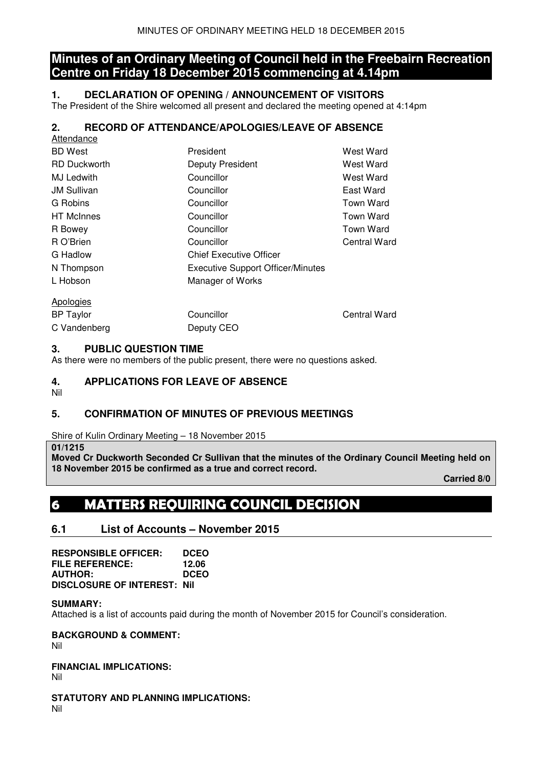## **Minutes of an Ordinary Meeting of Council held in the Freebairn Recreation Centre on Friday 18 December 2015 commencing at 4.14pm**

## **1. DECLARATION OF OPENING / ANNOUNCEMENT OF VISITORS**

The President of the Shire welcomed all present and declared the meeting opened at 4:14pm

## **2. RECORD OF ATTENDANCE/APOLOGIES/LEAVE OF ABSENCE**

| Attendance          |                                          |                  |
|---------------------|------------------------------------------|------------------|
| <b>BD</b> West      | President                                | West Ward        |
| <b>RD</b> Duckworth | <b>Deputy President</b>                  | West Ward        |
| MJ Ledwith          | Councillor                               | West Ward        |
| <b>JM Sullivan</b>  | Councillor                               | East Ward        |
| G Robins            | Councillor                               | Town Ward        |
| <b>HT</b> McInnes   | Councillor                               | Town Ward        |
| R Bowey             | Councillor                               | <b>Town Ward</b> |
| R O'Brien           | Councillor                               | Central Ward     |
| G Hadlow            | <b>Chief Executive Officer</b>           |                  |
| N Thompson          | <b>Executive Support Officer/Minutes</b> |                  |
| L Hobson            | Manager of Works                         |                  |
| <b>Apologies</b>    |                                          |                  |
| <b>BP Taylor</b>    | Councillor                               | Central Ward     |
| C Vandenberg        | Deputy CEO                               |                  |

### **3. PUBLIC QUESTION TIME**

As there were no members of the public present, there were no questions asked.

## **4. APPLICATIONS FOR LEAVE OF ABSENCE**

Nil

## **5. CONFIRMATION OF MINUTES OF PREVIOUS MEETINGS**

Shire of Kulin Ordinary Meeting – 18 November 2015

#### **01/1215**

**Moved Cr Duckworth Seconded Cr Sullivan that the minutes of the Ordinary Council Meeting held on 18 November 2015 be confirmed as a true and correct record.** 

 **Carried 8/0** 

## **6 MATTERS REQUIRING COUNCIL DECISION**

## **6.1 List of Accounts – November 2015**

| <b>RESPONSIBLE OFFICER:</b>        | <b>DCEO</b> |
|------------------------------------|-------------|
| <b>FILE REFERENCE:</b>             | 12.06       |
| <b>AUTHOR:</b>                     | <b>DCEO</b> |
| <b>DISCLOSURE OF INTEREST: Nil</b> |             |

#### **SUMMARY:**

Attached is a list of accounts paid during the month of November 2015 for Council's consideration.

**BACKGROUND & COMMENT:** 

Nil

#### **FINANCIAL IMPLICATIONS:**

Nil

**STATUTORY AND PLANNING IMPLICATIONS:** 

Nil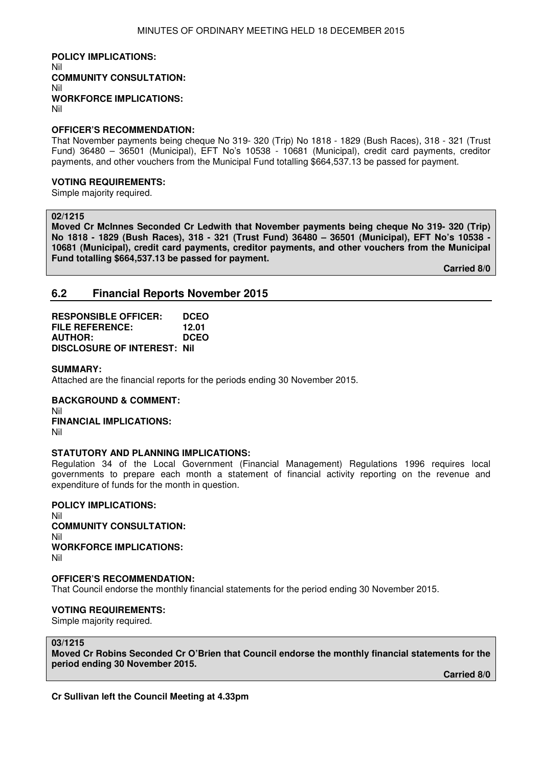**POLICY IMPLICATIONS:**  Nil **COMMUNITY CONSULTATION:**  Nil **WORKFORCE IMPLICATIONS:**  Nil

#### **OFFICER'S RECOMMENDATION:**

That November payments being cheque No 319- 320 (Trip) No 1818 - 1829 (Bush Races), 318 - 321 (Trust Fund) 36480 – 36501 (Municipal), EFT No's 10538 - 10681 (Municipal), credit card payments, creditor payments, and other vouchers from the Municipal Fund totalling \$664,537.13 be passed for payment.

#### **VOTING REQUIREMENTS:**

Simple majority required.

#### **02/1215**

**Moved Cr McInnes Seconded Cr Ledwith that November payments being cheque No 319- 320 (Trip) No 1818 - 1829 (Bush Races), 318 - 321 (Trust Fund) 36480 – 36501 (Municipal), EFT No's 10538 - 10681 (Municipal), credit card payments, creditor payments, and other vouchers from the Municipal Fund totalling \$664,537.13 be passed for payment.** 

 **Carried 8/0** 

## **6.2 Financial Reports November 2015**

**RESPONSIBLE OFFICER: DCEO FILE REFERENCE: 12.01 AUTHOR: DCEO DISCLOSURE OF INTEREST: Nil** 

#### **SUMMARY:**

Attached are the financial reports for the periods ending 30 November 2015.

**BACKGROUND & COMMENT:**  Nil **FINANCIAL IMPLICATIONS:**  Nil

#### **STATUTORY AND PLANNING IMPLICATIONS:**

Regulation 34 of the Local Government (Financial Management) Regulations 1996 requires local governments to prepare each month a statement of financial activity reporting on the revenue and expenditure of funds for the month in question.

#### **POLICY IMPLICATIONS:**

Nil **COMMUNITY CONSULTATION:**  Nil **WORKFORCE IMPLICATIONS:**  Nil

#### **OFFICER'S RECOMMENDATION:**

That Council endorse the monthly financial statements for the period ending 30 November 2015.

#### **VOTING REQUIREMENTS:**

Simple majority required.

#### **03/1215**

**Moved Cr Robins Seconded Cr O'Brien that Council endorse the monthly financial statements for the period ending 30 November 2015.** 

 **Carried 8/0**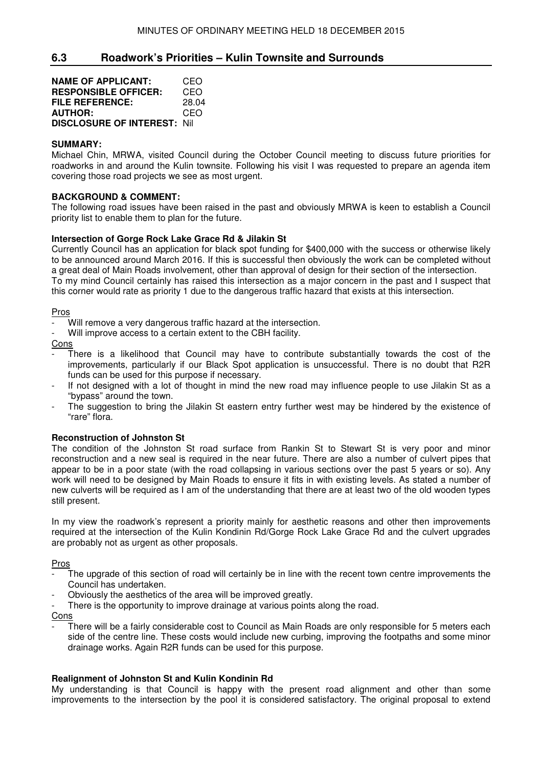## **6.3 Roadwork's Priorities – Kulin Townsite and Surrounds**

| <b>NAME OF APPLICANT:</b>           | CEO   |
|-------------------------------------|-------|
| <b>RESPONSIBLE OFFICER:</b>         | CEO   |
| <b>FILE REFERENCE:</b>              | 28.04 |
| <b>AUTHOR:</b>                      | CEO   |
| <b>DISCLOSURE OF INTEREST: Nill</b> |       |

#### **SUMMARY:**

Michael Chin, MRWA, visited Council during the October Council meeting to discuss future priorities for roadworks in and around the Kulin townsite. Following his visit I was requested to prepare an agenda item covering those road projects we see as most urgent.

#### **BACKGROUND & COMMENT:**

The following road issues have been raised in the past and obviously MRWA is keen to establish a Council priority list to enable them to plan for the future.

#### **Intersection of Gorge Rock Lake Grace Rd & Jilakin St**

Currently Council has an application for black spot funding for \$400,000 with the success or otherwise likely to be announced around March 2016. If this is successful then obviously the work can be completed without a great deal of Main Roads involvement, other than approval of design for their section of the intersection. To my mind Council certainly has raised this intersection as a major concern in the past and I suspect that this corner would rate as priority 1 due to the dangerous traffic hazard that exists at this intersection.

Pros

- Will remove a very dangerous traffic hazard at the intersection.
- Will improve access to a certain extent to the CBH facility.

Cons

- There is a likelihood that Council may have to contribute substantially towards the cost of the improvements, particularly if our Black Spot application is unsuccessful. There is no doubt that R2R funds can be used for this purpose if necessary.
- If not designed with a lot of thought in mind the new road may influence people to use Jilakin St as a "bypass" around the town.
- The suggestion to bring the Jilakin St eastern entry further west may be hindered by the existence of "rare" flora.

#### **Reconstruction of Johnston St**

The condition of the Johnston St road surface from Rankin St to Stewart St is very poor and minor reconstruction and a new seal is required in the near future. There are also a number of culvert pipes that appear to be in a poor state (with the road collapsing in various sections over the past 5 years or so). Any work will need to be designed by Main Roads to ensure it fits in with existing levels. As stated a number of new culverts will be required as I am of the understanding that there are at least two of the old wooden types still present.

In my view the roadwork's represent a priority mainly for aesthetic reasons and other then improvements required at the intersection of the Kulin Kondinin Rd/Gorge Rock Lake Grace Rd and the culvert upgrades are probably not as urgent as other proposals.

#### Pros

- The upgrade of this section of road will certainly be in line with the recent town centre improvements the Council has undertaken.
- Obviously the aesthetics of the area will be improved greatly.
- There is the opportunity to improve drainage at various points along the road.

#### Cons

There will be a fairly considerable cost to Council as Main Roads are only responsible for 5 meters each side of the centre line. These costs would include new curbing, improving the footpaths and some minor drainage works. Again R2R funds can be used for this purpose.

#### **Realignment of Johnston St and Kulin Kondinin Rd**

My understanding is that Council is happy with the present road alignment and other than some improvements to the intersection by the pool it is considered satisfactory. The original proposal to extend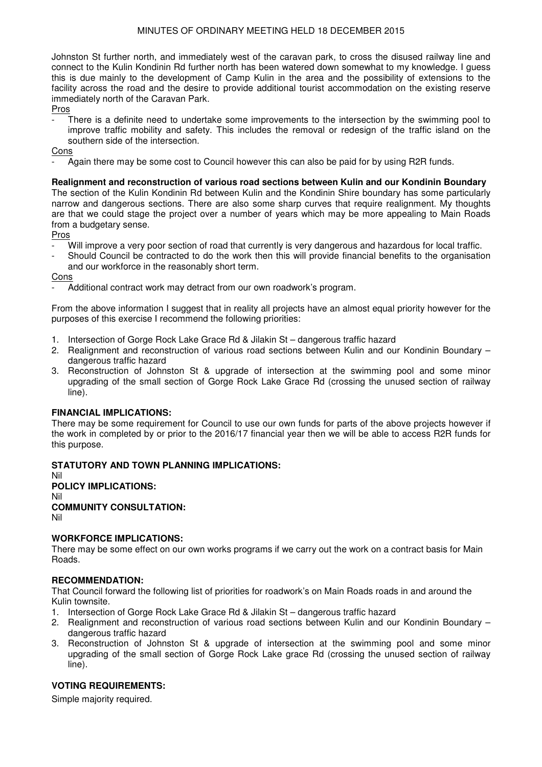Johnston St further north, and immediately west of the caravan park, to cross the disused railway line and connect to the Kulin Kondinin Rd further north has been watered down somewhat to my knowledge. I guess this is due mainly to the development of Camp Kulin in the area and the possibility of extensions to the facility across the road and the desire to provide additional tourist accommodation on the existing reserve immediately north of the Caravan Park.

Pros

There is a definite need to undertake some improvements to the intersection by the swimming pool to improve traffic mobility and safety. This includes the removal or redesign of the traffic island on the southern side of the intersection.

#### Cons

- Again there may be some cost to Council however this can also be paid for by using R2R funds.

#### **Realignment and reconstruction of various road sections between Kulin and our Kondinin Boundary**

The section of the Kulin Kondinin Rd between Kulin and the Kondinin Shire boundary has some particularly narrow and dangerous sections. There are also some sharp curves that require realignment. My thoughts are that we could stage the project over a number of years which may be more appealing to Main Roads from a budgetary sense.

#### Pros

- Will improve a very poor section of road that currently is very dangerous and hazardous for local traffic.
- Should Council be contracted to do the work then this will provide financial benefits to the organisation and our workforce in the reasonably short term.

#### Cons

Additional contract work may detract from our own roadwork's program.

From the above information I suggest that in reality all projects have an almost equal priority however for the purposes of this exercise I recommend the following priorities:

- 1. Intersection of Gorge Rock Lake Grace Rd & Jilakin St dangerous traffic hazard
- 2. Realignment and reconstruction of various road sections between Kulin and our Kondinin Boundary dangerous traffic hazard
- 3. Reconstruction of Johnston St & upgrade of intersection at the swimming pool and some minor upgrading of the small section of Gorge Rock Lake Grace Rd (crossing the unused section of railway line).

#### **FINANCIAL IMPLICATIONS:**

There may be some requirement for Council to use our own funds for parts of the above projects however if the work in completed by or prior to the 2016/17 financial year then we will be able to access R2R funds for this purpose.

#### **STATUTORY AND TOWN PLANNING IMPLICATIONS:**

#### Nil **POLICY IMPLICATIONS:** Nil **COMMUNITY CONSULTATION:** Nil

## **WORKFORCE IMPLICATIONS:**

There may be some effect on our own works programs if we carry out the work on a contract basis for Main Roads.

#### **RECOMMENDATION:**

That Council forward the following list of priorities for roadwork's on Main Roads roads in and around the Kulin townsite.

- 1. Intersection of Gorge Rock Lake Grace Rd & Jilakin St dangerous traffic hazard
- 2. Realignment and reconstruction of various road sections between Kulin and our Kondinin Boundary dangerous traffic hazard
- 3. Reconstruction of Johnston St & upgrade of intersection at the swimming pool and some minor upgrading of the small section of Gorge Rock Lake grace Rd (crossing the unused section of railway line).

#### **VOTING REQUIREMENTS:**

Simple majority required.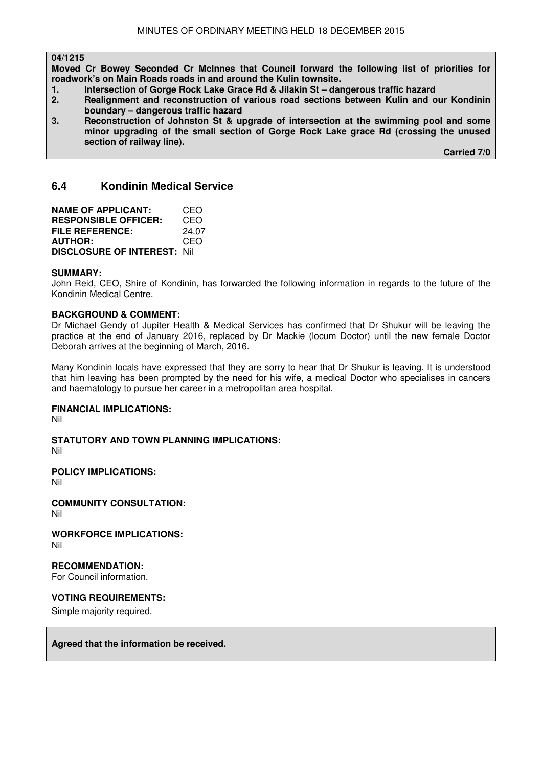#### **04/1215**

**Moved Cr Bowey Seconded Cr McInnes that Council forward the following list of priorities for roadwork's on Main Roads roads in and around the Kulin townsite.** 

- **1. Intersection of Gorge Rock Lake Grace Rd & Jilakin St dangerous traffic hazard**
- **2. Realignment and reconstruction of various road sections between Kulin and our Kondinin boundary – dangerous traffic hazard**
- **3. Reconstruction of Johnston St & upgrade of intersection at the swimming pool and some minor upgrading of the small section of Gorge Rock Lake grace Rd (crossing the unused section of railway line).**

 **Carried 7/0** 

## **6.4 Kondinin Medical Service**

| <b>NAME OF APPLICANT:</b>           | CEO   |
|-------------------------------------|-------|
| <b>RESPONSIBLE OFFICER:</b>         | CEO   |
| FILE REFERENCE:                     | 24.07 |
| <b>AUTHOR:</b>                      | CEO   |
| <b>DISCLOSURE OF INTEREST: Nill</b> |       |

#### **SUMMARY:**

John Reid, CEO, Shire of Kondinin, has forwarded the following information in regards to the future of the Kondinin Medical Centre.

#### **BACKGROUND & COMMENT:**

Dr Michael Gendy of Jupiter Health & Medical Services has confirmed that Dr Shukur will be leaving the practice at the end of January 2016, replaced by Dr Mackie (locum Doctor) until the new female Doctor Deborah arrives at the beginning of March, 2016.

Many Kondinin locals have expressed that they are sorry to hear that Dr Shukur is leaving. It is understood that him leaving has been prompted by the need for his wife, a medical Doctor who specialises in cancers and haematology to pursue her career in a metropolitan area hospital.

#### **FINANCIAL IMPLICATIONS:**

Nil

**STATUTORY AND TOWN PLANNING IMPLICATIONS:**  Nil

**POLICY IMPLICATIONS:**

Nil

**COMMUNITY CONSULTATION:** Nil

**WORKFORCE IMPLICATIONS:** Nil

**RECOMMENDATION:** 

For Council information.

### **VOTING REQUIREMENTS:**

Simple majority required.

**Agreed that the information be received.**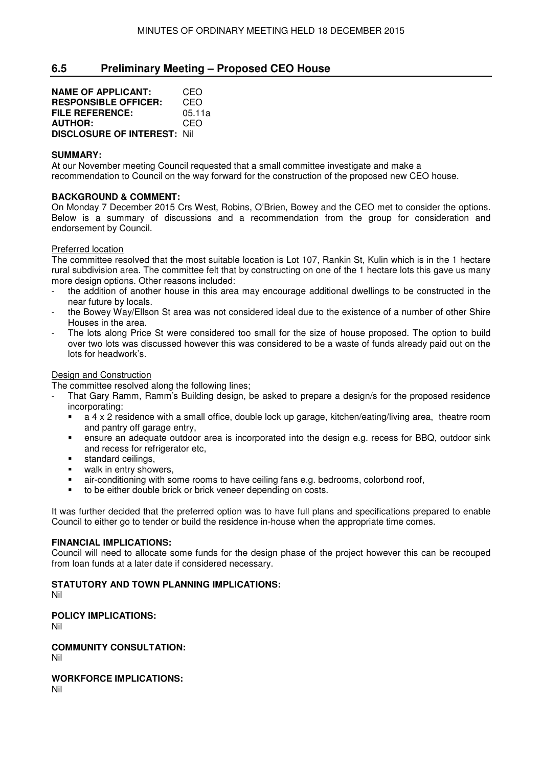## **6.5 Preliminary Meeting – Proposed CEO House**

**NAME OF APPLICANT:** CEO **RESPONSIBLE OFFICER:** CEO **FILE REFERENCE:** 05.11a **AUTHOR:** CEO **DISCLOSURE OF INTEREST:** Nil

#### **SUMMARY:**

At our November meeting Council requested that a small committee investigate and make a recommendation to Council on the way forward for the construction of the proposed new CEO house.

#### **BACKGROUND & COMMENT:**

On Monday 7 December 2015 Crs West, Robins, O'Brien, Bowey and the CEO met to consider the options. Below is a summary of discussions and a recommendation from the group for consideration and endorsement by Council.

#### Preferred location

The committee resolved that the most suitable location is Lot 107, Rankin St, Kulin which is in the 1 hectare rural subdivision area. The committee felt that by constructing on one of the 1 hectare lots this gave us many more design options. Other reasons included:

- the addition of another house in this area may encourage additional dwellings to be constructed in the near future by locals.
- the Bowey Way/Ellson St area was not considered ideal due to the existence of a number of other Shire Houses in the area.
- The lots along Price St were considered too small for the size of house proposed. The option to build over two lots was discussed however this was considered to be a waste of funds already paid out on the lots for headwork's.

#### Design and Construction

The committee resolved along the following lines;

- That Gary Ramm, Ramm's Building design, be asked to prepare a design/s for the proposed residence incorporating:
	- a 4 x 2 residence with a small office, double lock up garage, kitchen/eating/living area, theatre room and pantry off garage entry,
	- ensure an adequate outdoor area is incorporated into the design e.g. recess for BBQ, outdoor sink and recess for refrigerator etc,
	- **standard ceilings,**
	- **•** walk in entry showers,
	- air-conditioning with some rooms to have ceiling fans e.g. bedrooms, colorbond roof,
	- to be either double brick or brick veneer depending on costs.

It was further decided that the preferred option was to have full plans and specifications prepared to enable Council to either go to tender or build the residence in-house when the appropriate time comes.

#### **FINANCIAL IMPLICATIONS:**

Council will need to allocate some funds for the design phase of the project however this can be recouped from loan funds at a later date if considered necessary.

## **STATUTORY AND TOWN PLANNING IMPLICATIONS:**

Nil

**POLICY IMPLICATIONS:**

Nil

**COMMUNITY CONSULTATION:** Nil

**WORKFORCE IMPLICATIONS:** Nil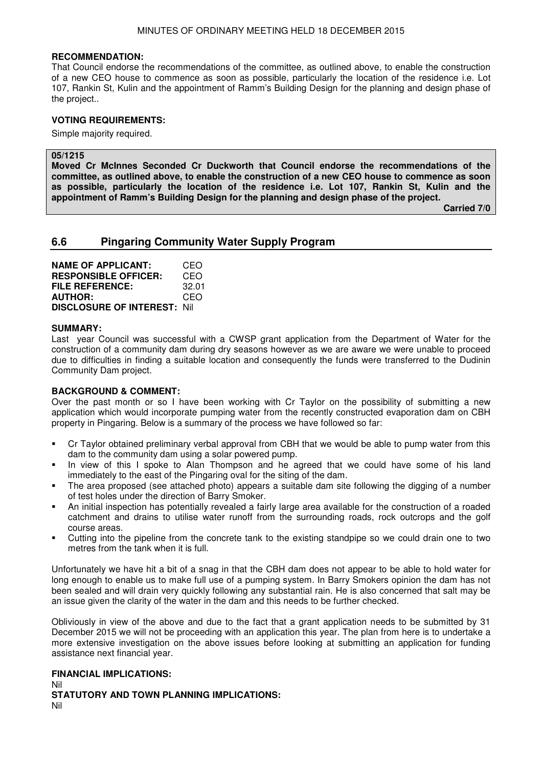#### **RECOMMENDATION:**

That Council endorse the recommendations of the committee, as outlined above, to enable the construction of a new CEO house to commence as soon as possible, particularly the location of the residence i.e. Lot 107, Rankin St, Kulin and the appointment of Ramm's Building Design for the planning and design phase of the project..

#### **VOTING REQUIREMENTS:**

Simple majority required.

#### **05/1215**

**Moved Cr McInnes Seconded Cr Duckworth that Council endorse the recommendations of the committee, as outlined above, to enable the construction of a new CEO house to commence as soon as possible, particularly the location of the residence i.e. Lot 107, Rankin St, Kulin and the appointment of Ramm's Building Design for the planning and design phase of the project.** 

 **Carried 7/0** 

## **6.6 Pingaring Community Water Supply Program**

**NAME OF APPLICANT:** CEO **RESPONSIBLE OFFICER:** CEO **FILE REFERENCE:** 32.01 **AUTHOR:** CEO **DISCLOSURE OF INTEREST:** Nil

#### **SUMMARY:**

Last year Council was successful with a CWSP grant application from the Department of Water for the construction of a community dam during dry seasons however as we are aware we were unable to proceed due to difficulties in finding a suitable location and consequently the funds were transferred to the Dudinin Community Dam project.

#### **BACKGROUND & COMMENT:**

Over the past month or so I have been working with Cr Taylor on the possibility of submitting a new application which would incorporate pumping water from the recently constructed evaporation dam on CBH property in Pingaring. Below is a summary of the process we have followed so far:

- Cr Taylor obtained preliminary verbal approval from CBH that we would be able to pump water from this dam to the community dam using a solar powered pump.
- In view of this I spoke to Alan Thompson and he agreed that we could have some of his land immediately to the east of the Pingaring oval for the siting of the dam.
- The area proposed (see attached photo) appears a suitable dam site following the digging of a number of test holes under the direction of Barry Smoker.
- An initial inspection has potentially revealed a fairly large area available for the construction of a roaded catchment and drains to utilise water runoff from the surrounding roads, rock outcrops and the golf course areas.
- Cutting into the pipeline from the concrete tank to the existing standpipe so we could drain one to two metres from the tank when it is full.

Unfortunately we have hit a bit of a snag in that the CBH dam does not appear to be able to hold water for long enough to enable us to make full use of a pumping system. In Barry Smokers opinion the dam has not been sealed and will drain very quickly following any substantial rain. He is also concerned that salt may be an issue given the clarity of the water in the dam and this needs to be further checked.

Obliviously in view of the above and due to the fact that a grant application needs to be submitted by 31 December 2015 we will not be proceeding with an application this year. The plan from here is to undertake a more extensive investigation on the above issues before looking at submitting an application for funding assistance next financial year.

#### **FINANCIAL IMPLICATIONS:**

Nil **STATUTORY AND TOWN PLANNING IMPLICATIONS:**  Nil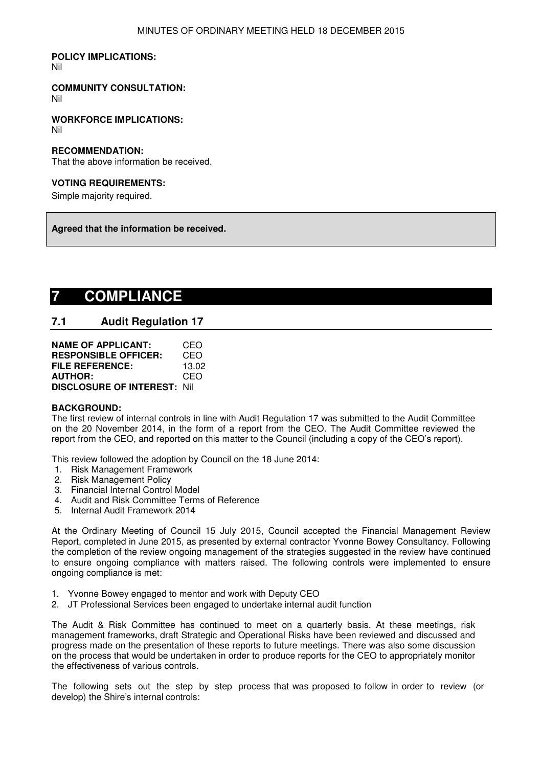## **POLICY IMPLICATIONS:**

Nil

## **COMMUNITY CONSULTATION:**

Nil

**WORKFORCE IMPLICATIONS:** Nil

#### **RECOMMENDATION:**

That the above information be received.

#### **VOTING REQUIREMENTS:**

Simple majority required.

**Agreed that the information be received.** 

# **7 COMPLIANCE**

## **7.1 Audit Regulation 17**

| <b>NAME OF APPLICANT:</b>          | CEO   |
|------------------------------------|-------|
| <b>RESPONSIBLE OFFICER:</b>        | CEO   |
| <b>FILE REFERENCE:</b>             | 13.02 |
| <b>AUTHOR:</b>                     | CEO   |
| <b>DISCLOSURE OF INTEREST: Nil</b> |       |

#### **BACKGROUND:**

The first review of internal controls in line with Audit Regulation 17 was submitted to the Audit Committee on the 20 November 2014, in the form of a report from the CEO. The Audit Committee reviewed the report from the CEO, and reported on this matter to the Council (including a copy of the CEO's report).

This review followed the adoption by Council on the 18 June 2014:

- 1. Risk Management Framework
- 2. Risk Management Policy
- 3. Financial Internal Control Model
- 4. Audit and Risk Committee Terms of Reference
- 5. Internal Audit Framework 2014

At the Ordinary Meeting of Council 15 July 2015, Council accepted the Financial Management Review Report, completed in June 2015, as presented by external contractor Yvonne Bowey Consultancy. Following the completion of the review ongoing management of the strategies suggested in the review have continued to ensure ongoing compliance with matters raised. The following controls were implemented to ensure ongoing compliance is met:

- 1. Yvonne Bowey engaged to mentor and work with Deputy CEO
- 2. JT Professional Services been engaged to undertake internal audit function

The Audit & Risk Committee has continued to meet on a quarterly basis. At these meetings, risk management frameworks, draft Strategic and Operational Risks have been reviewed and discussed and progress made on the presentation of these reports to future meetings. There was also some discussion on the process that would be undertaken in order to produce reports for the CEO to appropriately monitor the effectiveness of various controls.

The following sets out the step by step process that was proposed to follow in order to review (or develop) the Shire's internal controls: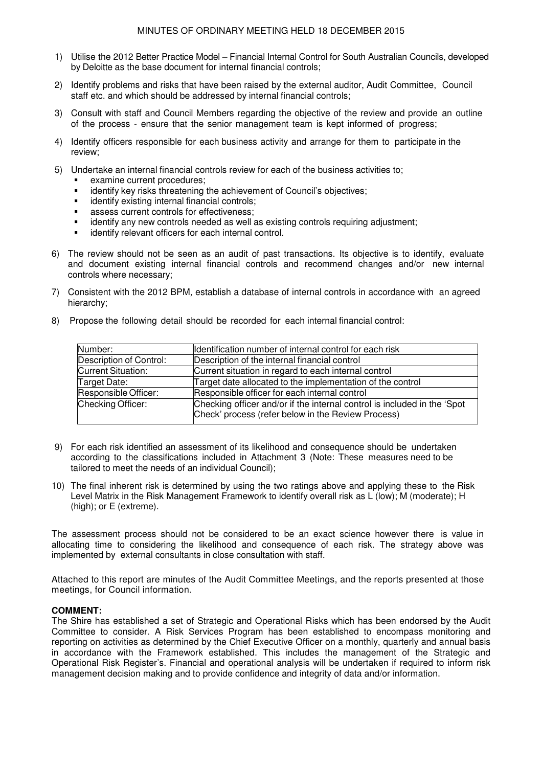- 1) Utilise the 2012 Better Practice Model Financial Internal Control for South Australian Councils, developed by Deloitte as the base document for internal financial controls;
- 2) Identify problems and risks that have been raised by the external auditor, Audit Committee, Council staff etc. and which should be addressed by internal financial controls;
- 3) Consult with staff and Council Members regarding the objective of the review and provide an outline of the process - ensure that the senior management team is kept informed of progress;
- 4) Identify officers responsible for each business activity and arrange for them to participate in the review;
- 5) Undertake an internal financial controls review for each of the business activities to;
	- **EXAMPLE CULLE** Procedures;
	- **EXEDENT** identify key risks threatening the achievement of Council's objectives;
	- **identify existing internal financial controls;**
	- **assess current controls for effectiveness;**
	- identify any new controls needed as well as existing controls requiring adjustment;
	- identify relevant officers for each internal control.
- 6) The review should not be seen as an audit of past transactions. Its objective is to identify, evaluate and document existing internal financial controls and recommend changes and/or new internal controls where necessary;
- 7) Consistent with the 2012 BPM*,* establish a database of internal controls in accordance with an agreed hierarchy;

| Number:                   | Identification number of internal control for each risk                                                                        |
|---------------------------|--------------------------------------------------------------------------------------------------------------------------------|
| Description of Control:   | Description of the internal financial control                                                                                  |
| <b>Current Situation:</b> | Current situation in regard to each internal control                                                                           |
| Target Date:              | Target date allocated to the implementation of the control                                                                     |
| Responsible Officer:      | Responsible officer for each internal control                                                                                  |
| Checking Officer:         | Checking officer and/or if the internal control is included in the 'Spot<br>Check' process (refer below in the Review Process) |

8) Propose the following detail should be recorded for each internal financial control:

- 9) For each risk identified an assessment of its likelihood and consequence should be undertaken according to the classifications included in Attachment 3 (Note: These measures need to be tailored to meet the needs of an individual Council);
- 10) The final inherent risk is determined by using the two ratings above and applying these to the Risk Level Matrix in the Risk Management Framework to identify overall risk as L (low); M (moderate); H (high); or E (extreme).

The assessment process should not be considered to be an exact science however there is value in allocating time to considering the likelihood and consequence of each risk. The strategy above was implemented by external consultants in close consultation with staff.

Attached to this report are minutes of the Audit Committee Meetings, and the reports presented at those meetings, for Council information.

#### **COMMENT:**

The Shire has established a set of Strategic and Operational Risks which has been endorsed by the Audit Committee to consider. A Risk Services Program has been established to encompass monitoring and reporting on activities as determined by the Chief Executive Officer on a monthly, quarterly and annual basis in accordance with the Framework established. This includes the management of the Strategic and Operational Risk Register's. Financial and operational analysis will be undertaken if required to inform risk management decision making and to provide confidence and integrity of data and/or information.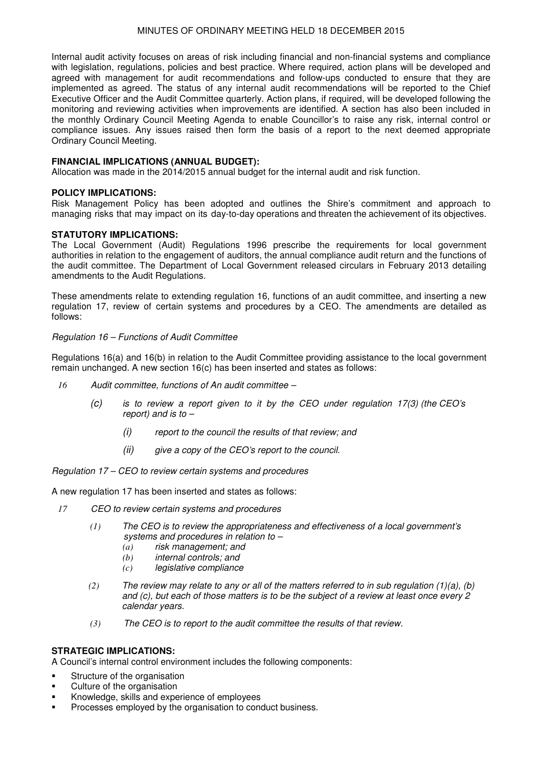Internal audit activity focuses on areas of risk including financial and non-financial systems and compliance with legislation, regulations, policies and best practice. Where required, action plans will be developed and agreed with management for audit recommendations and follow-ups conducted to ensure that they are implemented as agreed. The status of any internal audit recommendations will be reported to the Chief Executive Officer and the Audit Committee quarterly. Action plans, if required, will be developed following the monitoring and reviewing activities when improvements are identified. A section has also been included in the monthly Ordinary Council Meeting Agenda to enable Councillor's to raise any risk, internal control or compliance issues. Any issues raised then form the basis of a report to the next deemed appropriate Ordinary Council Meeting.

#### **FINANCIAL IMPLICATIONS (ANNUAL BUDGET):**

Allocation was made in the 2014/2015 annual budget for the internal audit and risk function.

#### **POLICY IMPLICATIONS:**

Risk Management Policy has been adopted and outlines the Shire's commitment and approach to managing risks that may impact on its day-to-day operations and threaten the achievement of its objectives.

#### **STATUTORY IMPLICATIONS:**

The Local Government (Audit) Regulations 1996 prescribe the requirements for local government authorities in relation to the engagement of auditors, the annual compliance audit return and the functions of the audit committee. The Department of Local Government released circulars in February 2013 detailing amendments to the Audit Regulations.

These amendments relate to extending regulation 16, functions of an audit committee, and inserting a new regulation 17, review of certain systems and procedures by a CEO. The amendments are detailed as follows:

#### *Regulation 16 – Functions of Audit Committee*

Regulations 16(a) and 16(b) in relation to the Audit Committee providing assistance to the local government remain unchanged. A new section 16(c) has been inserted and states as follows:

- *16 Audit committee, functions of An audit committee –*
	- *(c) is to review a report given to it by the CEO under regulation 17(3) (the CEO's report) and is to –*
		- *(i) report to the council the results of that review; and*
		- *(ii) give a copy of the CEO's report to the council.*

*Regulation 17 – CEO to review certain systems and procedures*

A new regulation 17 has been inserted and states as follows:

- *17 CEO to review certain systems and procedures*
	- *(1) The CEO is to review the appropriateness and effectiveness of a local government's systems and procedures in relation to –*
		- *(a) risk management; and*
		- *(b) internal controls; and*
		- *(c) legislative compliance*
	- *(2) The review may relate to any or all of the matters referred to in sub regulation (1)(a), (b) and (c), but each of those matters is to be the subject of a review at least once every 2 calendar years.*
	- *(3) The CEO is to report to the audit committee the results of that review.*

#### **STRATEGIC IMPLICATIONS:**

A Council's internal control environment includes the following components:

- Structure of the organisation
- Culture of the organisation
- Knowledge, skills and experience of employees
- Processes employed by the organisation to conduct business.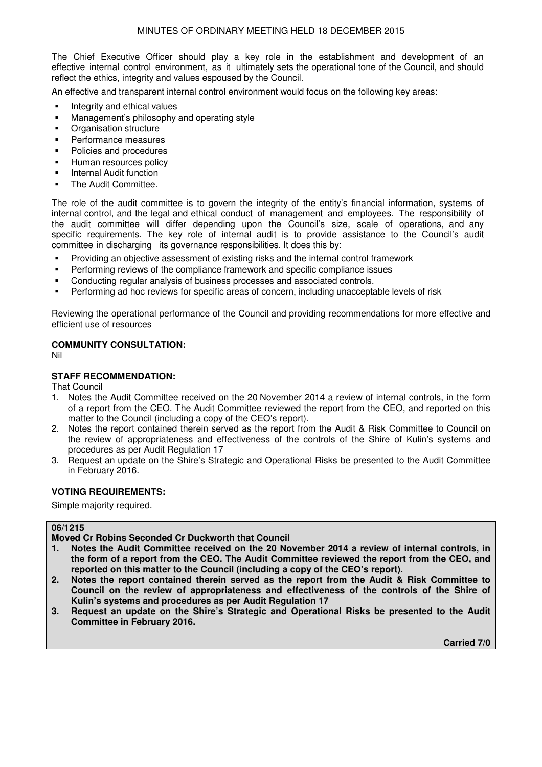The Chief Executive Officer should play a key role in the establishment and development of an effective internal control environment, as it ultimately sets the operational tone of the Council, and should reflect the ethics, integrity and values espoused by the Council.

An effective and transparent internal control environment would focus on the following key areas:

- **Integrity and ethical values**
- Management's philosophy and operating style
- Organisation structure
- Performance measures
- Policies and procedures
- Human resources policy
- Internal Audit function
- The Audit Committee.

The role of the audit committee is to govern the integrity of the entity's financial information, systems of internal control, and the legal and ethical conduct of management and employees. The responsibility of the audit committee will differ depending upon the Council's size, scale of operations, and any specific requirements. The key role of internal audit is to provide assistance to the Council's audit committee in discharging its governance responsibilities. It does this by:

- Providing an objective assessment of existing risks and the internal control framework
- Performing reviews of the compliance framework and specific compliance issues
- Conducting regular analysis of business processes and associated controls.
- Performing ad hoc reviews for specific areas of concern, including unacceptable levels of risk

Reviewing the operational performance of the Council and providing recommendations for more effective and efficient use of resources

#### **COMMUNITY CONSULTATION:**

Nil

#### **STAFF RECOMMENDATION:**

That Council

- 1. Notes the Audit Committee received on the 20 November 2014 a review of internal controls, in the form of a report from the CEO. The Audit Committee reviewed the report from the CEO, and reported on this matter to the Council (including a copy of the CEO's report).
- 2. Notes the report contained therein served as the report from the Audit & Risk Committee to Council on the review of appropriateness and effectiveness of the controls of the Shire of Kulin's systems and procedures as per Audit Regulation 17
- 3. Request an update on the Shire's Strategic and Operational Risks be presented to the Audit Committee in February 2016.

#### **VOTING REQUIREMENTS:**

Simple majority required.

### **06/1215**

**Moved Cr Robins Seconded Cr Duckworth that Council** 

- **1. Notes the Audit Committee received on the 20 November 2014 a review of internal controls, in the form of a report from the CEO. The Audit Committee reviewed the report from the CEO, and reported on this matter to the Council (including a copy of the CEO's report).**
- **2. Notes the report contained therein served as the report from the Audit & Risk Committee to Council on the review of appropriateness and effectiveness of the controls of the Shire of Kulin's systems and procedures as per Audit Regulation 17**
- **3. Request an update on the Shire's Strategic and Operational Risks be presented to the Audit Committee in February 2016.**

 **Carried 7/0**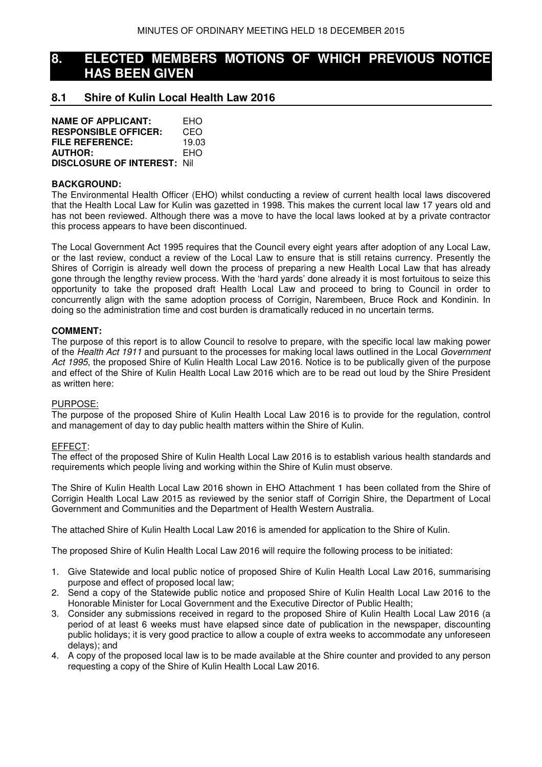## **8. ELECTED MEMBERS MOTIONS OF WHICH PREVIOUS NOTICE HAS BEEN GIVEN**

## **8.1 Shire of Kulin Local Health Law 2016**

| <b>NAME OF APPLICANT:</b>           | EHO   |
|-------------------------------------|-------|
| <b>RESPONSIBLE OFFICER:</b>         | CEO   |
| <b>FILE REFERENCE:</b>              | 19.03 |
| <b>AUTHOR:</b>                      | EHO   |
| <b>DISCLOSURE OF INTEREST: Nill</b> |       |

#### **BACKGROUND:**

The Environmental Health Officer (EHO) whilst conducting a review of current health local laws discovered that the Health Local Law for Kulin was gazetted in 1998. This makes the current local law 17 years old and has not been reviewed. Although there was a move to have the local laws looked at by a private contractor this process appears to have been discontinued.

The Local Government Act 1995 requires that the Council every eight years after adoption of any Local Law, or the last review, conduct a review of the Local Law to ensure that is still retains currency. Presently the Shires of Corrigin is already well down the process of preparing a new Health Local Law that has already gone through the lengthy review process. With the 'hard yards' done already it is most fortuitous to seize this opportunity to take the proposed draft Health Local Law and proceed to bring to Council in order to concurrently align with the same adoption process of Corrigin, Narembeen, Bruce Rock and Kondinin. In doing so the administration time and cost burden is dramatically reduced in no uncertain terms.

#### **COMMENT:**

The purpose of this report is to allow Council to resolve to prepare, with the specific local law making power of the *Health Act 1911* and pursuant to the processes for making local laws outlined in the Local *Government Act 1995*, the proposed Shire of Kulin Health Local Law 2016. Notice is to be publically given of the purpose and effect of the Shire of Kulin Health Local Law 2016 which are to be read out loud by the Shire President as written here:

#### PURPOSE:

The purpose of the proposed Shire of Kulin Health Local Law 2016 is to provide for the regulation, control and management of day to day public health matters within the Shire of Kulin.

#### EFFECT:

The effect of the proposed Shire of Kulin Health Local Law 2016 is to establish various health standards and requirements which people living and working within the Shire of Kulin must observe.

The Shire of Kulin Health Local Law 2016 shown in EHO Attachment 1 has been collated from the Shire of Corrigin Health Local Law 2015 as reviewed by the senior staff of Corrigin Shire, the Department of Local Government and Communities and the Department of Health Western Australia.

The attached Shire of Kulin Health Local Law 2016 is amended for application to the Shire of Kulin.

The proposed Shire of Kulin Health Local Law 2016 will require the following process to be initiated:

- 1. Give Statewide and local public notice of proposed Shire of Kulin Health Local Law 2016, summarising purpose and effect of proposed local law;
- 2. Send a copy of the Statewide public notice and proposed Shire of Kulin Health Local Law 2016 to the Honorable Minister for Local Government and the Executive Director of Public Health;
- 3. Consider any submissions received in regard to the proposed Shire of Kulin Health Local Law 2016 (a period of at least 6 weeks must have elapsed since date of publication in the newspaper, discounting public holidays; it is very good practice to allow a couple of extra weeks to accommodate any unforeseen delays); and
- 4. A copy of the proposed local law is to be made available at the Shire counter and provided to any person requesting a copy of the Shire of Kulin Health Local Law 2016.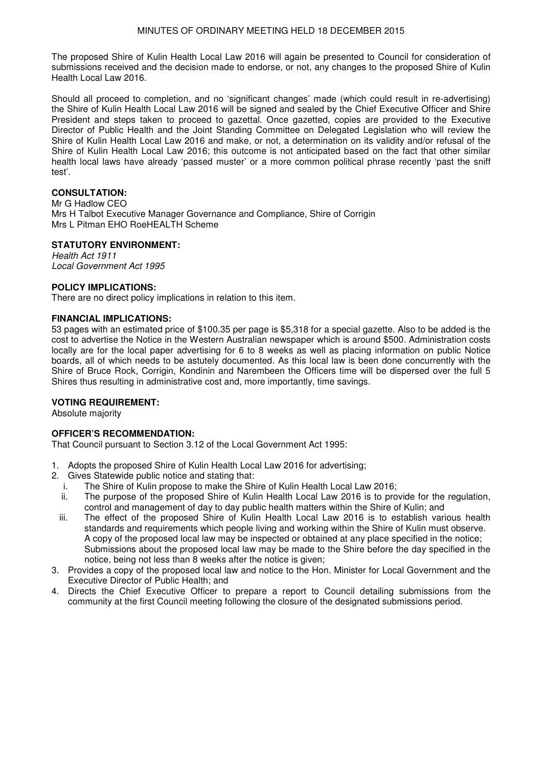The proposed Shire of Kulin Health Local Law 2016 will again be presented to Council for consideration of submissions received and the decision made to endorse, or not, any changes to the proposed Shire of Kulin Health Local Law 2016.

Should all proceed to completion, and no 'significant changes' made (which could result in re-advertising) the Shire of Kulin Health Local Law 2016 will be signed and sealed by the Chief Executive Officer and Shire President and steps taken to proceed to gazettal. Once gazetted, copies are provided to the Executive Director of Public Health and the Joint Standing Committee on Delegated Legislation who will review the Shire of Kulin Health Local Law 2016 and make, or not, a determination on its validity and/or refusal of the Shire of Kulin Health Local Law 2016; this outcome is not anticipated based on the fact that other similar health local laws have already 'passed muster' or a more common political phrase recently 'past the sniff test'.

### **CONSULTATION:**

Mr G Hadlow CEO Mrs H Talbot Executive Manager Governance and Compliance, Shire of Corrigin Mrs L Pitman EHO RoeHEALTH Scheme

### **STATUTORY ENVIRONMENT:**

*Health Act 1911 Local Government Act 1995* 

#### **POLICY IMPLICATIONS:**

There are no direct policy implications in relation to this item.

#### **FINANCIAL IMPLICATIONS:**

53 pages with an estimated price of \$100.35 per page is \$5,318 for a special gazette. Also to be added is the cost to advertise the Notice in the Western Australian newspaper which is around \$500. Administration costs locally are for the local paper advertising for 6 to 8 weeks as well as placing information on public Notice boards, all of which needs to be astutely documented. As this local law is been done concurrently with the Shire of Bruce Rock, Corrigin, Kondinin and Narembeen the Officers time will be dispersed over the full 5 Shires thus resulting in administrative cost and, more importantly, time savings.

#### **VOTING REQUIREMENT:**

Absolute majority

#### **OFFICER'S RECOMMENDATION:**

That Council pursuant to Section 3.12 of the Local Government Act 1995:

- 1. Adopts the proposed Shire of Kulin Health Local Law 2016 for advertising;
- 2. Gives Statewide public notice and stating that:
	- i. The Shire of Kulin propose to make the Shire of Kulin Health Local Law 2016;
	- ii. The purpose of the proposed Shire of Kulin Health Local Law 2016 is to provide for the regulation, control and management of day to day public health matters within the Shire of Kulin; and
	- iii. The effect of the proposed Shire of Kulin Health Local Law 2016 is to establish various health standards and requirements which people living and working within the Shire of Kulin must observe. A copy of the proposed local law may be inspected or obtained at any place specified in the notice; Submissions about the proposed local law may be made to the Shire before the day specified in the notice, being not less than 8 weeks after the notice is given;
- 3. Provides a copy of the proposed local law and notice to the Hon. Minister for Local Government and the Executive Director of Public Health; and
- 4. Directs the Chief Executive Officer to prepare a report to Council detailing submissions from the community at the first Council meeting following the closure of the designated submissions period.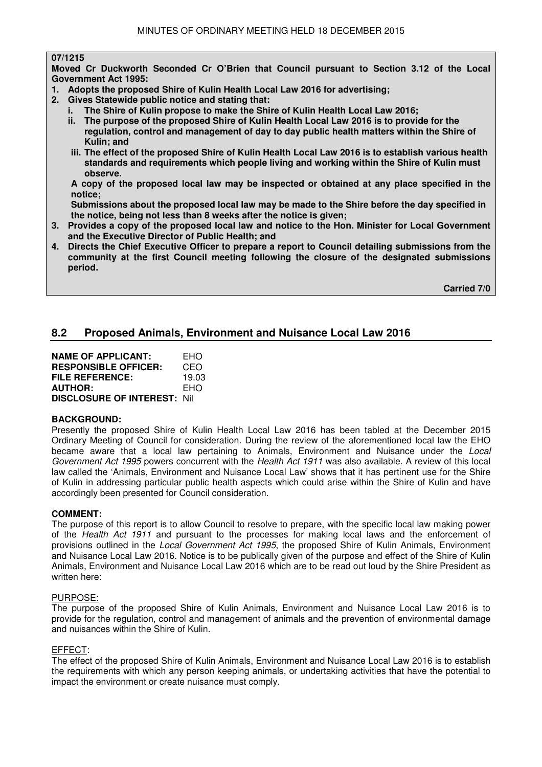#### **07/1215**

**Moved Cr Duckworth Seconded Cr O'Brien that Council pursuant to Section 3.12 of the Local Government Act 1995:** 

- **1. Adopts the proposed Shire of Kulin Health Local Law 2016 for advertising;**
- **2. Gives Statewide public notice and stating that:** 
	- **i. The Shire of Kulin propose to make the Shire of Kulin Health Local Law 2016;**
	- **ii. The purpose of the proposed Shire of Kulin Health Local Law 2016 is to provide for the regulation, control and management of day to day public health matters within the Shire of Kulin; and**
	- **iii. The effect of the proposed Shire of Kulin Health Local Law 2016 is to establish various health standards and requirements which people living and working within the Shire of Kulin must observe.**

 **A copy of the proposed local law may be inspected or obtained at any place specified in the notice;** 

 **Submissions about the proposed local law may be made to the Shire before the day specified in the notice, being not less than 8 weeks after the notice is given;** 

- **3. Provides a copy of the proposed local law and notice to the Hon. Minister for Local Government and the Executive Director of Public Health; and**
- **4. Directs the Chief Executive Officer to prepare a report to Council detailing submissions from the community at the first Council meeting following the closure of the designated submissions period.**

 **Carried 7/0** 

## **8.2 Proposed Animals, Environment and Nuisance Local Law 2016**

| <b>NAME OF APPLICANT:</b>          | EHO   |
|------------------------------------|-------|
| <b>RESPONSIBLE OFFICER:</b>        | CEO   |
| <b>FILE REFERENCE:</b>             | 19.03 |
| <b>AUTHOR:</b>                     | EHO   |
| <b>DISCLOSURE OF INTEREST: Nil</b> |       |

#### **BACKGROUND:**

Presently the proposed Shire of Kulin Health Local Law 2016 has been tabled at the December 2015 Ordinary Meeting of Council for consideration. During the review of the aforementioned local law the EHO became aware that a local law pertaining to Animals, Environment and Nuisance under the *Local Government Act 1995* powers concurrent with the *Health Act 1911* was also available. A review of this local law called the 'Animals, Environment and Nuisance Local Law' shows that it has pertinent use for the Shire of Kulin in addressing particular public health aspects which could arise within the Shire of Kulin and have accordingly been presented for Council consideration.

#### **COMMENT:**

The purpose of this report is to allow Council to resolve to prepare, with the specific local law making power of the *Health Act 1911* and pursuant to the processes for making local laws and the enforcement of provisions outlined in the *Local Government Act 1995*, the proposed Shire of Kulin Animals, Environment and Nuisance Local Law 2016. Notice is to be publically given of the purpose and effect of the Shire of Kulin Animals, Environment and Nuisance Local Law 2016 which are to be read out loud by the Shire President as written here:

#### PURPOSE:

The purpose of the proposed Shire of Kulin Animals, Environment and Nuisance Local Law 2016 is to provide for the regulation, control and management of animals and the prevention of environmental damage and nuisances within the Shire of Kulin.

#### EFFECT:

The effect of the proposed Shire of Kulin Animals, Environment and Nuisance Local Law 2016 is to establish the requirements with which any person keeping animals, or undertaking activities that have the potential to impact the environment or create nuisance must comply.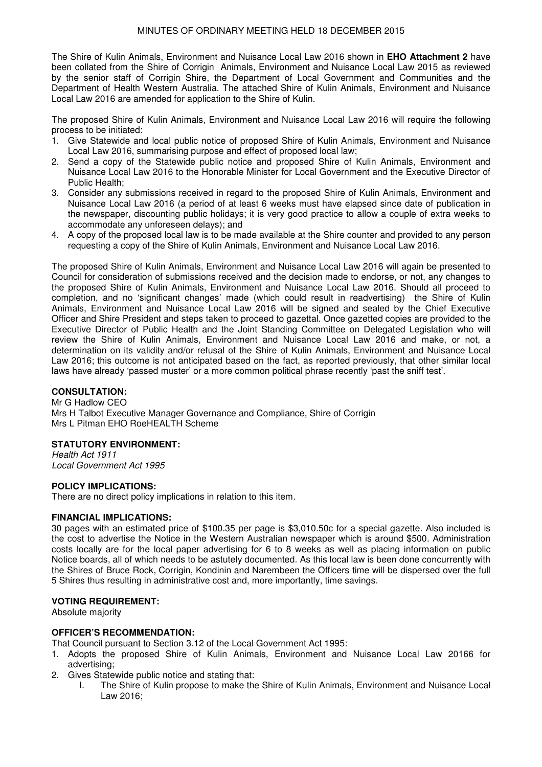The Shire of Kulin Animals, Environment and Nuisance Local Law 2016 shown in **EHO Attachment 2** have been collated from the Shire of Corrigin Animals, Environment and Nuisance Local Law 2015 as reviewed by the senior staff of Corrigin Shire, the Department of Local Government and Communities and the Department of Health Western Australia. The attached Shire of Kulin Animals, Environment and Nuisance Local Law 2016 are amended for application to the Shire of Kulin.

The proposed Shire of Kulin Animals, Environment and Nuisance Local Law 2016 will require the following process to be initiated:

- 1. Give Statewide and local public notice of proposed Shire of Kulin Animals, Environment and Nuisance Local Law 2016, summarising purpose and effect of proposed local law;
- 2. Send a copy of the Statewide public notice and proposed Shire of Kulin Animals, Environment and Nuisance Local Law 2016 to the Honorable Minister for Local Government and the Executive Director of Public Health;
- 3. Consider any submissions received in regard to the proposed Shire of Kulin Animals, Environment and Nuisance Local Law 2016 (a period of at least 6 weeks must have elapsed since date of publication in the newspaper, discounting public holidays; it is very good practice to allow a couple of extra weeks to accommodate any unforeseen delays); and
- 4. A copy of the proposed local law is to be made available at the Shire counter and provided to any person requesting a copy of the Shire of Kulin Animals, Environment and Nuisance Local Law 2016.

The proposed Shire of Kulin Animals, Environment and Nuisance Local Law 2016 will again be presented to Council for consideration of submissions received and the decision made to endorse, or not, any changes to the proposed Shire of Kulin Animals, Environment and Nuisance Local Law 2016. Should all proceed to completion, and no 'significant changes' made (which could result in readvertising) the Shire of Kulin Animals, Environment and Nuisance Local Law 2016 will be signed and sealed by the Chief Executive Officer and Shire President and steps taken to proceed to gazettal. Once gazetted copies are provided to the Executive Director of Public Health and the Joint Standing Committee on Delegated Legislation who will review the Shire of Kulin Animals, Environment and Nuisance Local Law 2016 and make, or not, a determination on its validity and/or refusal of the Shire of Kulin Animals, Environment and Nuisance Local Law 2016; this outcome is not anticipated based on the fact, as reported previously, that other similar local laws have already 'passed muster' or a more common political phrase recently 'past the sniff test'.

#### **CONSULTATION:**

Mr G Hadlow CEO Mrs H Talbot Executive Manager Governance and Compliance, Shire of Corrigin Mrs L Pitman EHO RoeHEALTH Scheme

#### **STATUTORY ENVIRONMENT:**

*Health Act 1911 Local Government Act 1995* 

#### **POLICY IMPLICATIONS:**

There are no direct policy implications in relation to this item.

#### **FINANCIAL IMPLICATIONS:**

30 pages with an estimated price of \$100.35 per page is \$3,010.50c for a special gazette. Also included is the cost to advertise the Notice in the Western Australian newspaper which is around \$500. Administration costs locally are for the local paper advertising for 6 to 8 weeks as well as placing information on public Notice boards, all of which needs to be astutely documented. As this local law is been done concurrently with the Shires of Bruce Rock, Corrigin, Kondinin and Narembeen the Officers time will be dispersed over the full 5 Shires thus resulting in administrative cost and, more importantly, time savings.

#### **VOTING REQUIREMENT:**

Absolute majority

#### **OFFICER'S RECOMMENDATION:**

That Council pursuant to Section 3.12 of the Local Government Act 1995:

- 1. Adopts the proposed Shire of Kulin Animals, Environment and Nuisance Local Law 20166 for advertising;
- 2. Gives Statewide public notice and stating that:
	- I. The Shire of Kulin propose to make the Shire of Kulin Animals, Environment and Nuisance Local Law 2016;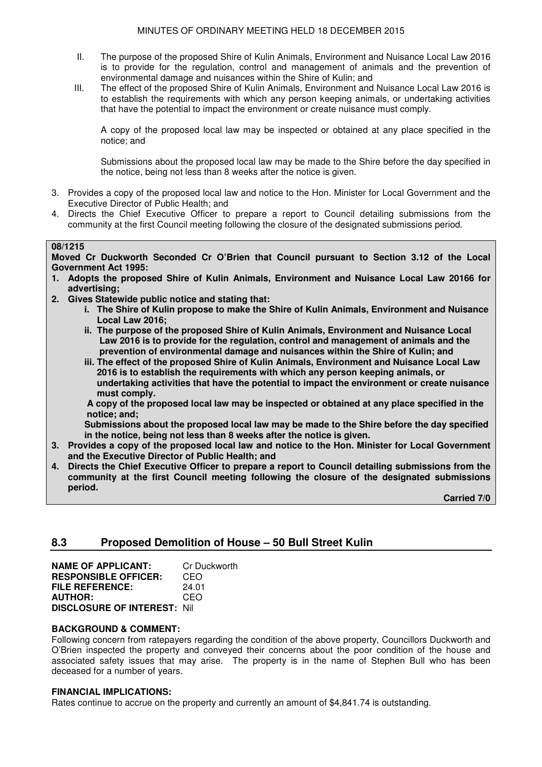- II. The purpose of the proposed Shire of Kulin Animals, Environment and Nuisance Local Law 2016 is to provide for the regulation, control and management of animals and the prevention of environmental damage and nuisances within the Shire of Kulin; and
- III. The effect of the proposed Shire of Kulin Animals, Environment and Nuisance Local Law 2016 is to establish the requirements with which any person keeping animals, or undertaking activities that have the potential to impact the environment or create nuisance must comply.

A copy of the proposed local law may be inspected or obtained at any place specified in the notice; and

Submissions about the proposed local law may be made to the Shire before the day specified in the notice, being not less than 8 weeks after the notice is given.

- 3. Provides a copy of the proposed local law and notice to the Hon. Minister for Local Government and the Executive Director of Public Health; and
- 4. Directs the Chief Executive Officer to prepare a report to Council detailing submissions from the community at the first Council meeting following the closure of the designated submissions period.

#### **08/1215**

**Moved Cr Duckworth Seconded Cr O'Brien that Council pursuant to Section 3.12 of the Local Government Act 1995:** 

- **1. Adopts the proposed Shire of Kulin Animals, Environment and Nuisance Local Law 20166 for advertising;**
- **2. Gives Statewide public notice and stating that:** 
	- **i. The Shire of Kulin propose to make the Shire of Kulin Animals, Environment and Nuisance Local Law 2016;**
	- **ii. The purpose of the proposed Shire of Kulin Animals, Environment and Nuisance Local Law 2016 is to provide for the regulation, control and management of animals and the prevention of environmental damage and nuisances within the Shire of Kulin; and**
	- **iii. The effect of the proposed Shire of Kulin Animals, Environment and Nuisance Local Law 2016 is to establish the requirements with which any person keeping animals, or undertaking activities that have the potential to impact the environment or create nuisance must comply.**

 **A copy of the proposed local law may be inspected or obtained at any place specified in the notice; and;** 

 **Submissions about the proposed local law may be made to the Shire before the day specified in the notice, being not less than 8 weeks after the notice is given.** 

- **3. Provides a copy of the proposed local law and notice to the Hon. Minister for Local Government and the Executive Director of Public Health; and**
- **4. Directs the Chief Executive Officer to prepare a report to Council detailing submissions from the community at the first Council meeting following the closure of the designated submissions period.**

 **Carried 7/0** 

## **8.3 Proposed Demolition of House – 50 Bull Street Kulin**

| <b>NAME OF APPLICANT:</b>          | Cr Duckworth |
|------------------------------------|--------------|
| <b>RESPONSIBLE OFFICER:</b>        | CEO          |
| <b>FILE REFERENCE:</b>             | 24.01        |
| <b>AUTHOR:</b>                     | CEO          |
| <b>DISCLOSURE OF INTEREST: Nil</b> |              |

#### **BACKGROUND & COMMENT:**

Following concern from ratepayers regarding the condition of the above property, Councillors Duckworth and O'Brien inspected the property and conveyed their concerns about the poor condition of the house and associated safety issues that may arise. The property is in the name of Stephen Bull who has been deceased for a number of years.

#### **FINANCIAL IMPLICATIONS:**

Rates continue to accrue on the property and currently an amount of \$4,841.74 is outstanding.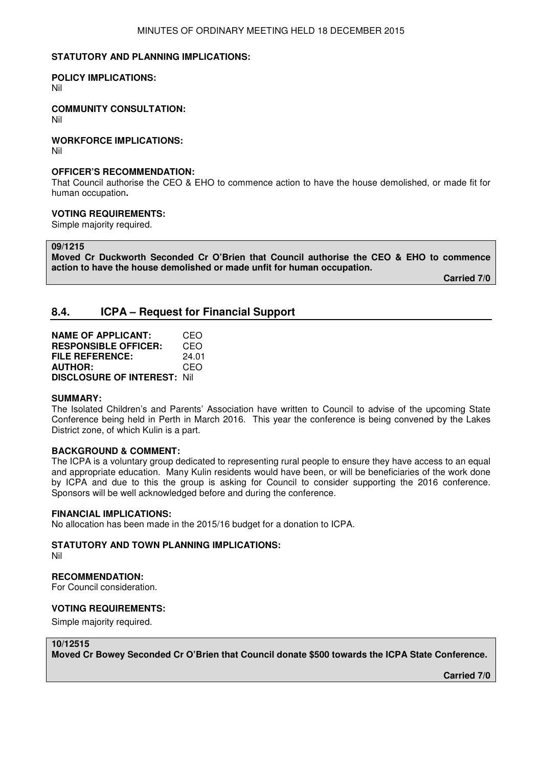#### **STATUTORY AND PLANNING IMPLICATIONS:**

#### **POLICY IMPLICATIONS:**

Nil

#### **COMMUNITY CONSULTATION:**

Nil

#### **WORKFORCE IMPLICATIONS:**

Nil

#### **OFFICER'S RECOMMENDATION:**

That Council authorise the CEO & EHO to commence action to have the house demolished, or made fit for human occupation**.** 

#### **VOTING REQUIREMENTS:**

Simple majority required.

**09/1215** 

**Moved Cr Duckworth Seconded Cr O'Brien that Council authorise the CEO & EHO to commence action to have the house demolished or made unfit for human occupation.** 

 **Carried 7/0** 

## **8.4. ICPA – Request for Financial Support**

| <b>NAME OF APPLICANT:</b>           | CEO   |
|-------------------------------------|-------|
| <b>RESPONSIBLE OFFICER:</b>         | CEO   |
| FILE REFERENCE:                     | 24.01 |
| <b>AUTHOR:</b>                      | CEO   |
| <b>DISCLOSURE OF INTEREST: Nill</b> |       |

#### **SUMMARY:**

The Isolated Children's and Parents' Association have written to Council to advise of the upcoming State Conference being held in Perth in March 2016. This year the conference is being convened by the Lakes District zone, of which Kulin is a part.

#### **BACKGROUND & COMMENT:**

The ICPA is a voluntary group dedicated to representing rural people to ensure they have access to an equal and appropriate education. Many Kulin residents would have been, or will be beneficiaries of the work done by ICPA and due to this the group is asking for Council to consider supporting the 2016 conference. Sponsors will be well acknowledged before and during the conference.

#### **FINANCIAL IMPLICATIONS:**

No allocation has been made in the 2015/16 budget for a donation to ICPA.

#### **STATUTORY AND TOWN PLANNING IMPLICATIONS:**

Nil

#### **RECOMMENDATION:**

For Council consideration.

#### **VOTING REQUIREMENTS:**

Simple majority required.

#### **10/12515**

**Moved Cr Bowey Seconded Cr O'Brien that Council donate \$500 towards the ICPA State Conference.** 

**Carried 7/0**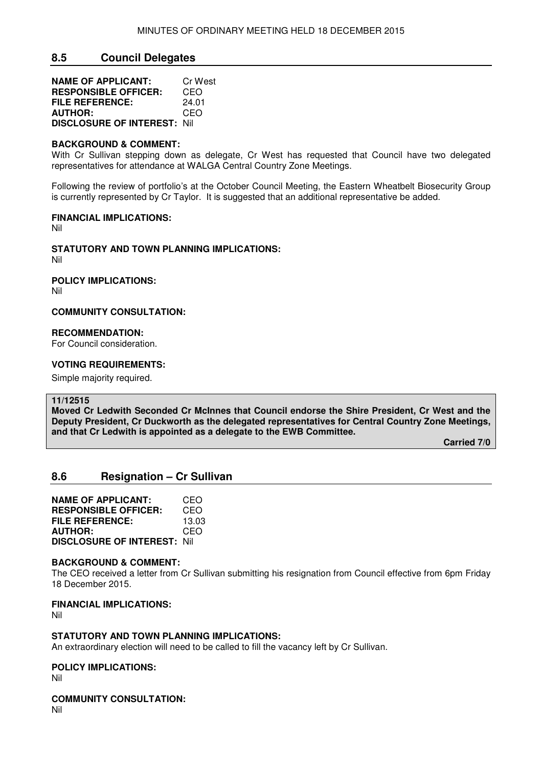## **8.5 Council Delegates**

| <b>NAME OF APPLICANT:</b>          | Cr West |
|------------------------------------|---------|
| <b>RESPONSIBLE OFFICER:</b>        | CEO     |
| <b>FILE REFERENCE:</b>             | 24.01   |
| <b>AUTHOR:</b>                     | CEO     |
| <b>DISCLOSURE OF INTEREST: Nil</b> |         |

#### **BACKGROUND & COMMENT:**

With Cr Sullivan stepping down as delegate, Cr West has requested that Council have two delegated representatives for attendance at WALGA Central Country Zone Meetings.

Following the review of portfolio's at the October Council Meeting, the Eastern Wheatbelt Biosecurity Group is currently represented by Cr Taylor. It is suggested that an additional representative be added.

#### **FINANCIAL IMPLICATIONS:**

Nil

#### **STATUTORY AND TOWN PLANNING IMPLICATIONS:**

Nil

### **POLICY IMPLICATIONS:**

Nil

#### **COMMUNITY CONSULTATION:**

#### **RECOMMENDATION:**

For Council consideration.

#### **VOTING REQUIREMENTS:**

Simple majority required.

#### **11/12515**

**Moved Cr Ledwith Seconded Cr McInnes that Council endorse the Shire President, Cr West and the Deputy President, Cr Duckworth as the delegated representatives for Central Country Zone Meetings, and that Cr Ledwith is appointed as a delegate to the EWB Committee.** 

 **Carried 7/0**

#### **8.6 Resignation – Cr Sullivan**

**NAME OF APPLICANT:** CEO **RESPONSIBLE OFFICER:** CEO<br>**FILE REFERENCE:** 13.03 **FILE REFERENCE: AUTHOR:** CEO **DISCLOSURE OF INTEREST:** Nil

#### **BACKGROUND & COMMENT:**

The CEO received a letter from Cr Sullivan submitting his resignation from Council effective from 6pm Friday 18 December 2015.

#### **FINANCIAL IMPLICATIONS:**

Nil

### **STATUTORY AND TOWN PLANNING IMPLICATIONS:**

An extraordinary election will need to be called to fill the vacancy left by Cr Sullivan.

#### **POLICY IMPLICATIONS:**

Nil

#### **COMMUNITY CONSULTATION:**

Nil